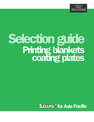

# Selection guide **Printing blankets<br>coating plates**

**Soura** for Asia Pacific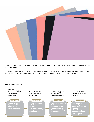

Trelleborg Printing Solutions design and manufacture offset printing blankets and coating plates, for all kind of inks and applications.

Sava printing blankets bring substantial advantages to printers and offer a wide and multi-purpose product range, especially for packaging applications, by reason of a centenary tradition in rubber manufacturing.

#### Key technical features

SAVA Advantage, the unique product line with cord technology

- • Reduced gage loss
- • High smash resistance
- • Longer service life • Excellent print quality

ISEGA certificates, a safety warranty for printers

**FEATURING FEATURING FEATURING FEATURING FEATURING** 

- • Pollutant-free materials • No health and food
- safety risk • Extra value for the food packaging industry and for consumer goods

UV technology, for HUV and LED UV press requirements

- • Strong chemical resistance • First class solids and
- halftone reproduction
- • No ink back-trapping
- • Excellent smash and edge mark resistance

Specific offer for coating with UV and aqueous

- **Easy preparation**
- and cleaning
- • Easier strip with visible cut lines
- **Simpler handling**
- **Enhance print quality Accelerate printing**
- productivity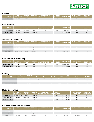

#### Coldset

| <b>STYLE NAME</b>     | <b>INK</b><br><b>IPATIBILITY</b><br>'NON. | <b>SURFACE</b><br><b>COLOR</b> | <b>THICKNESS</b><br>mm | <b>COMPRESSIBILITY</b><br>m Indentation)<br>$9.0.17$ m. | <b>SURFACE</b><br><b>ROUGHNESS</b> | <b>CONSTRUCTION</b>    | WATER & SOLVENT<br><b>PROTECTION</b> | <b>ELONGATION</b> |
|-----------------------|-------------------------------------------|--------------------------------|------------------------|---------------------------------------------------------|------------------------------------|------------------------|--------------------------------------|-------------------|
| <b>PRIVILEGE OPAL</b> | <b>HYBRID</b>                             | <b>GREEN</b>                   | 1,96                   | 0.8                                                     |                                    | <b>TEXTILE CARCASS</b> | <b>YES</b>                           | <1.2              |

#### Web Heatset

| <b>STYLE NAME</b>      | <b>INK</b><br><b>COMPATIBILITY</b> | <b>SURFACE</b><br><b>COLOR</b> | <b>THICKNESS</b><br>mm | <b>COMPRESSIBILITY</b><br>17mm Indentation)<br>1pa @ 0.1 | <b>SURFACE</b><br><b>ROUGHNESS</b> | <b>CONSTRUCTION</b>    | <b>WATER &amp; SOLVENT</b><br><b>PROTECTION</b> | <b>ELONGATION</b><br>(% @ 10N/mm) |
|------------------------|------------------------------------|--------------------------------|------------------------|----------------------------------------------------------|------------------------------------|------------------------|-------------------------------------------------|-----------------------------------|
| <b>ADVANTAGE PEARL</b> | <b>HYBRID</b>                      | TUROUOISE GREEN                | 1.95                   | 0.9                                                      | 1.2                                | <b>CORD CARCASS</b>    | <b>YES</b>                                      | 0.7                               |
| <b>PRIVILEGE TOPAZ</b> | <b>HYBRID</b>                      | TURQUOISE GREEN                | 1.70 and 1.96          | 0.9                                                      | 1.2                                | <b>TEXTILE CARCASS</b> | <b>YES</b>                                      |                                   |

## Sheetfed & Packaging

| <b>STYLE NAME</b>      | <b>INK</b><br><b>COMPATIBILITY</b> | <b>SURFACE</b><br><b>COLOR</b> | <b>THICKNESS</b><br>mm | <b>COMPRESSIBILITY</b><br>(Mpa @ 0.17mm Indentation) | <b>SURFACE</b><br><b>ROUGHNESS</b> | <b>CONSTRUCTION</b>    | <b>WATER &amp; SOLVENT</b><br><b>PROTECTION</b> | <b>ELONGATION</b><br>(% @ 10N/mm) |
|------------------------|------------------------------------|--------------------------------|------------------------|------------------------------------------------------|------------------------------------|------------------------|-------------------------------------------------|-----------------------------------|
| <b>ADVANTAGE PLUS</b>  | CONVENTIONAL                       | <b>BLUE</b>                    | 1.95                   | 0.8                                                  | 0.8                                | <b>CORD CARCASS</b>    | <b>YES</b>                                      | < 0.7                             |
| <b>ADVANTAGE PEARL</b> | <b>HYBRID</b>                      | TUROUOISE GREEN                | 1,95                   | 0.9                                                  | 1.2                                | <b>CORD CARCASS</b>    | <b>YES</b>                                      | < 0.7                             |
| <b>ADVANTAGE DUAL</b>  | <b>HYBRID</b>                      | <b>INDIGO</b>                  | 1.95                   | 0.8                                                  | 0.9                                | <b>CORD CARCASS</b>    | <b>YES</b>                                      | < 0.7                             |
| <b>PRIVILEGE</b>       | CONVENTIONAL                       | <b>BLUE</b>                    | 1,70 and 1,96          | 0.8                                                  | 0.8                                | <b>TEXTILE CARCASS</b> | <b>YES</b>                                      | < 1.2                             |

# UV Sheetfed & Packaging

| <b>STYLE NAME</b>         | <b>INK</b>    | <b>SURFACE</b><br><b>COLOR</b> | <b>THICKNESS '</b><br>mm | <b>COMPRESSIBILITY</b><br><b>L7mm Indentation)</b> | <b>SURFACE</b><br><b>ROUGHNESS</b> | <b>CONSTRUCTION</b>    | <b>WATER &amp; SOLVENT</b><br><b>PROTECTION</b> | <b>ELONGATION</b><br>$(% \mathcal{L}_{0}^{\infty})$ (% @ 10N/mm) |
|---------------------------|---------------|--------------------------------|--------------------------|----------------------------------------------------|------------------------------------|------------------------|-------------------------------------------------|------------------------------------------------------------------|
| <b>ADVANTAGE UV RED</b>   | UV            | RED                            | 1,95                     | 0.9                                                | <u>+.</u>                          | CORD CARCASS           | YES                                             | < 0.                                                             |
| <b>PRIVILEGE UV BLACK</b> | <b>HYBRID</b> | <b>BLACK</b>                   | 1,96                     | 0.9                                                | <u>.</u>                           | <b>TEXTILE CARCASS</b> | <b>YES</b>                                      | ∠.⊥∶                                                             |

# **Coating**

| <b>STYLE NAME</b>          | <b>INK</b><br><b>COMPATIBILITY</b> | <b>SURFACE</b><br><b>COLOR</b> | THICKNESS mm             | <b>RELIEF mm</b> | <b>CARRIER</b>   | <b>COATING</b><br><b>SURFACE</b> | <b>SHORE A</b> | <b>STRIPPABLE</b>      |
|----------------------------|------------------------------------|--------------------------------|--------------------------|------------------|------------------|----------------------------------|----------------|------------------------|
| <b>STRIP 4 DUAL</b>        | <b>AOUEOUS</b>                     | DARK GREY                      | 1.15/1.35/1.95/2.15/2.35 | $0,80-1,15$      | <b>POLYESTER</b> | <b>RUBBER</b>                    | 82             | <b>YES, NO FABRICS</b> |
| <b>ADVANTAGE STRIPPING</b> | <b>AOUEOUS</b>                     | <b>PINK</b>                    | 1,70 and 1,95            | 0,80/0,90        | <b>CORD PLY</b>  | <b>RUBBER</b>                    | 82             | <b>YES</b>             |
| ADVANTAGE UV STRIPPING JOY | UV                                 | <b>APRICOT</b>                 | 1.95                     | 0.90             | <b>CORD PLY</b>  | <b>RUBBER</b>                    | 82             | <b>YES</b>             |

### Metal Decorating

| <b>STYLE NAME</b>         | <b>INK</b><br><b>COMPATIBILITY</b> | <b>SURFACE</b><br><b>COLOR</b> | <b>THICKNESS</b><br>mm | <b>COMPRESSIBILITY</b><br>a @ 0.17mm Indentation) | <b>SURFACE</b><br><b>ROUGHNESS</b> | <b>CONSTRUCTION</b>    | <b>WATER &amp; SOLVENT</b><br><b>PROTECTION</b> | <b>ELONGATION</b><br>% @ 10N/mm) |
|---------------------------|------------------------------------|--------------------------------|------------------------|---------------------------------------------------|------------------------------------|------------------------|-------------------------------------------------|----------------------------------|
| <b>PRIVILEGE</b>          | <b>CONVENTIONAL</b>                | <b>BLUE</b>                    | 1,70 and 1,96          | 0.8                                               | 0.8                                | <b>TEXTILE CARCASS</b> | <b>YES</b>                                      | < 1.2                            |
| <b>PRIVILEGE TOPAZ</b>    | <b>HYBRID</b>                      | <b>TUROUOISE GREEN</b>         | 1.70 and 1.96          | 0.9                                               | 1.2                                | <b>TEXTILE CARCASS</b> | YES                                             | < 1.2                            |
| <b>PRIVILEGE UV BLACK</b> | UV                                 | <b>BLACK</b>                   | 1,96                   | 0.9                                               | 1.1                                | <b>TEXTILE CARCASS</b> | <b>YES</b>                                      | < 1.2                            |

# Business Forms and Envelopes

| <b>STYLE NAME</b>         | INK<br>COMPATIBILITY | <b>SURFACE</b><br>COLOR | <b>THICKNESS</b><br>mm | <b>COMPRESSIBILITY</b><br>$(Mpa \& 0.17mm$ Indentation) | <b>SURFACE</b><br><b>ROUGHNESS</b> | <b>LCONSTRUCTION</b>   | <b>WATER &amp; SOLVENT</b><br><b>PROTECTION</b> | <b>ELONGATION</b><br>(% @ 10N/mm) |
|---------------------------|----------------------|-------------------------|------------------------|---------------------------------------------------------|------------------------------------|------------------------|-------------------------------------------------|-----------------------------------|
| <b>PRIVILEGE</b>          | CONVENTIONAL         | <b>BLUE</b>             | 1.70 and 1.95          | 0.8                                                     | 0.8                                | <b>TEXTILE CARCASS</b> | YES                                             | < 1.2                             |
| <b>PRIVILEGE UV BLACK</b> | UV                   | <b>BLACK</b>            | 1.96                   | 0.9                                                     |                                    | <b>TEXTILE CARCASS</b> | <b>YES</b>                                      | < 1.2                             |
| <b>SLB E-FORM</b>         | <b>HYBRID</b>        | <b>GREY</b>             | 0.95 and 1.07          | $1.1\,$                                                 | 1.6                                | <b>ADHESIVE</b>        | <b>STICKY BACK</b>                              | n/a                               |